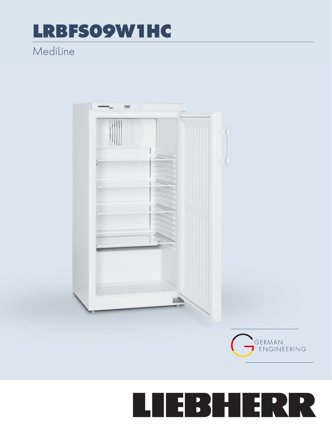## **LRBFSO9W1HC**

## Mediline